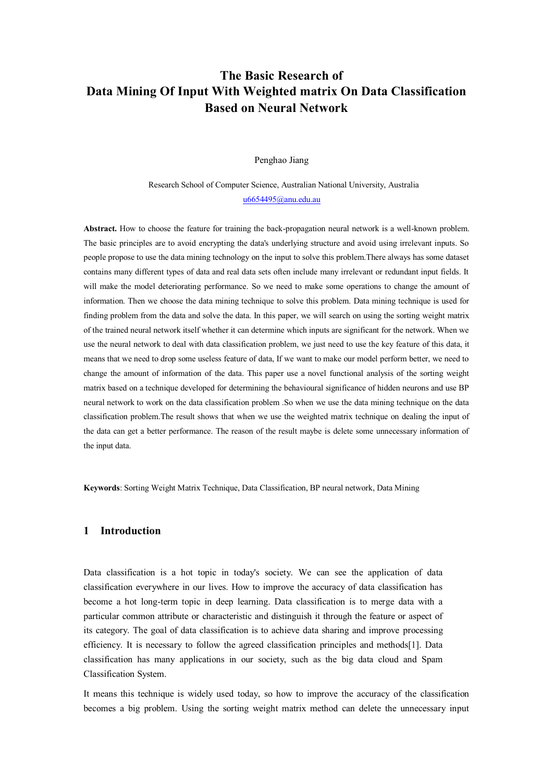# **The Basic Research of Data Mining Of Input With Weighted matrix On Data Classification Based on Neural Network**

Penghao Jiang

Research School of Computer Science, Australian National University, Australia [u6654495@anu.edu.au](mailto:u6654495@anu.edu.au)

**Abstract.** How to choose the feature for training the back-propagation neural network is a well-known problem. The basic principles are to avoid encrypting the data's underlying structure and avoid using irrelevant inputs. So people propose to use the data mining technology on the input to solve this problem.There always has some dataset contains many different types of data and real data sets often include many irrelevant or redundant input fields. It will make the model deteriorating performance. So we need to make some operations to change the amount of information. Then we choose the data mining technique to solve this problem. Data mining technique is used for finding problem from the data and solve the data. In this paper, we will search on using the sorting weight matrix of the trained neural network itself whether it can determine which inputs are significant for the network. When we use the neural network to deal with data classification problem, we just need to use the key feature of this data, it means that we need to drop some useless feature of data, If we want to make our model perform better, we need to change the amount of information of the data. This paper use a novel functional analysis of the sorting weight matrix based on a technique developed for determining the behavioural significance of hidden neurons and use BP neural network to work on the data classification problem .So when we use the data mining technique on the data classification problem.The result shows that when we use the weighted matrix technique on dealing the input of the data can get a better performance. The reason of the result maybe is delete some unnecessary information of the input data.

**Keywords**: Sorting Weight Matrix Technique, Data Classification, BP neural network, Data Mining

#### **1 Introduction**

Data classification is a hot topic in today's society. We can see the application of data classification everywhere in our lives. How to improve the accuracy of data classification has become a hot long-term topic in deep learning. Data classification is to merge data with a particular common attribute or characteristic and distinguish it through the feature or aspect of its category. The goal of data classification is to achieve data sharing and improve processing efficiency. It is necessary to follow the agreed classification principles and methods[1]. Data classification has many applications in our society, such as the big data cloud and Spam Classification System.

It means this technique is widely used today, so how to improve the accuracy of the classification becomes a big problem. Using the sorting weight matrix method can delete the unnecessary input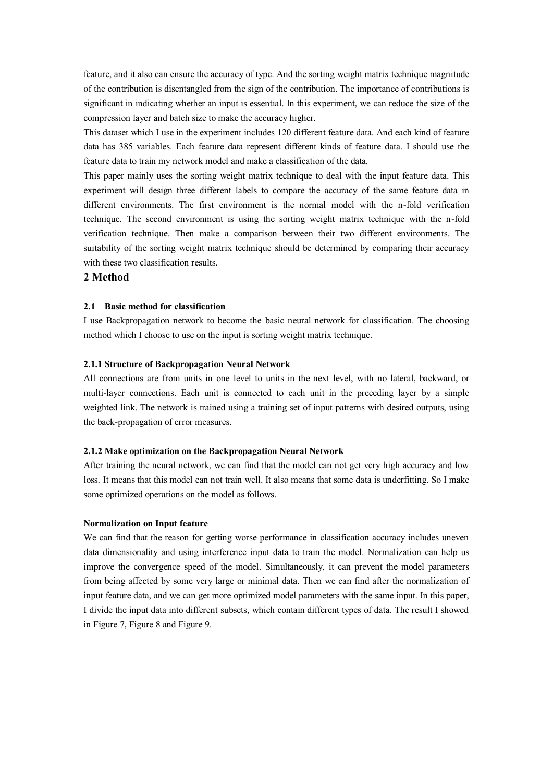feature, and it also can ensure the accuracy of type. And the sorting weight matrix technique magnitude of the contribution is disentangled from the sign of the contribution. The importance of contributions is significant in indicating whether an input is essential. In this experiment, we can reduce the size of the compression layer and batch size to make the accuracy higher.

This dataset which I use in the experiment includes 120 different feature data. And each kind of feature data has 385 variables. Each feature data represent different kinds of feature data. I should use the feature data to train my network model and make a classification of the data.

This paper mainly uses the sorting weight matrix technique to deal with the input feature data. This experiment will design three different labels to compare the accuracy of the same feature data in different environments. The first environment is the normal model with the n-fold verification technique. The second environment is using the sorting weight matrix technique with the n-fold verification technique. Then make a comparison between their two different environments. The suitability of the sorting weight matrix technique should be determined by comparing their accuracy with these two classification results.

## **2 Method**

## **2.1 Basic method for classification**

I use Backpropagation network to become the basic neural network for classification. The choosing method which I choose to use on the input is sorting weight matrix technique.

### **2.1.1 Structure of Backpropagation Neural Network**

All connections are from units in one level to units in the next level, with no lateral, backward, or multi-layer connections. Each unit is connected to each unit in the preceding layer by a simple weighted link. The network is trained using a training set of input patterns with desired outputs, using the back-propagation of error measures.

#### **2.1.2 Make optimization on the Backpropagation Neural Network**

After training the neural network, we can find that the model can not get very high accuracy and low loss. It means that this model can not train well. It also means that some data is underfitting. So I make some optimized operations on the model as follows.

## **Normalization on Input feature**

We can find that the reason for getting worse performance in classification accuracy includes uneven data dimensionality and using interference input data to train the model. Normalization can help us improve the convergence speed of the model. Simultaneously, it can prevent the model parameters from being affected by some very large or minimal data. Then we can find after the normalization of input feature data, and we can get more optimized model parameters with the same input. In this paper, I divide the input data into different subsets, which contain different types of data. The result I showed in Figure 7, Figure 8 and Figure 9.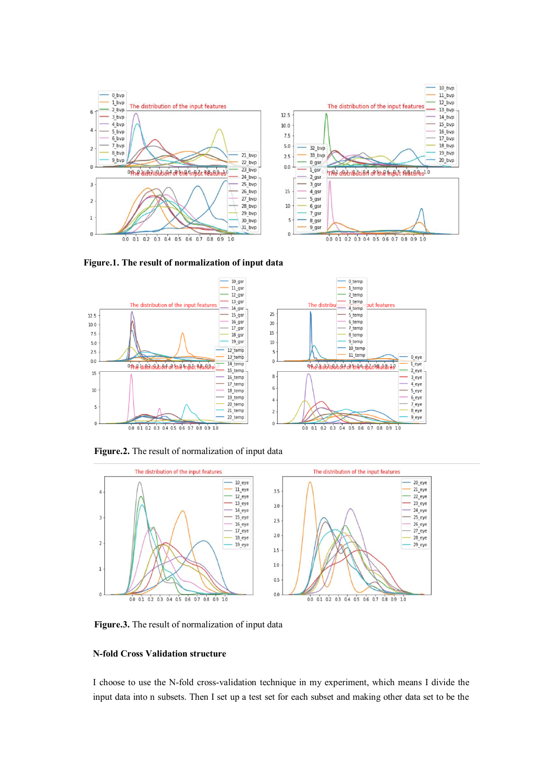

**Figure.1. The result of normalization of input data**



**Figure.2.** The result of normalization of input data



**Figure.3.** The result of normalization of input data

### **N-fold Cross Validation structure**

I choose to use the N-fold cross-validation technique in my experiment, which means I divide the input data into n subsets. Then I set up a test set for each subset and making other data set to be the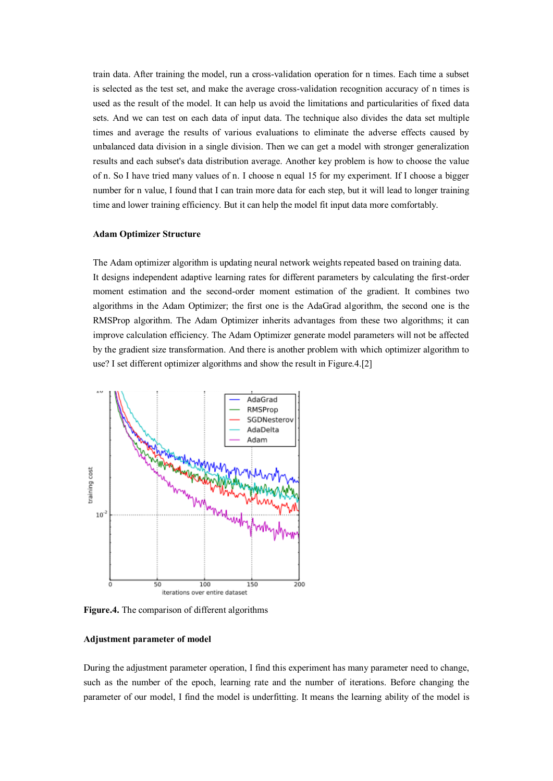train data. After training the model, run a cross-validation operation for n times. Each time a subset is selected as the test set, and make the average cross-validation recognition accuracy of n times is used as the result of the model. It can help us avoid the limitations and particularities of fixed data sets. And we can test on each data of input data. The technique also divides the data set multiple times and average the results of various evaluations to eliminate the adverse effects caused by unbalanced data division in a single division. Then we can get a model with stronger generalization results and each subset's data distribution average. Another key problem is how to choose the value of n. So I have tried many values of n. I choose n equal 15 for my experiment. If I choose a bigger number for n value, I found that I can train more data for each step, but it will lead to longer training time and lower training efficiency. But it can help the model fit input data more comfortably.

#### **Adam Optimizer Structure**

The Adam optimizer algorithm is updating neural network weights repeated based on training data. It designs independent adaptive learning rates for different parameters by calculating the first-order moment estimation and the second-order moment estimation of the gradient. It combines two algorithms in the Adam Optimizer; the first one is the AdaGrad algorithm, the second one is the RMSProp algorithm. The Adam Optimizer inherits advantages from these two algorithms; it can improve calculation efficiency. The Adam Optimizer generate model parameters will not be affected by the gradient size transformation. And there is another problem with which optimizer algorithm to use? I set different optimizer algorithms and show the result in Figure.4.[2]



**Figure.4.** The comparison of different algorithms

#### **Adjustment parameter of model**

During the adjustment parameter operation, I find this experiment has many parameter need to change, such as the number of the epoch, learning rate and the number of iterations. Before changing the parameter of our model, I find the model is underfitting. It means the learning ability of the model is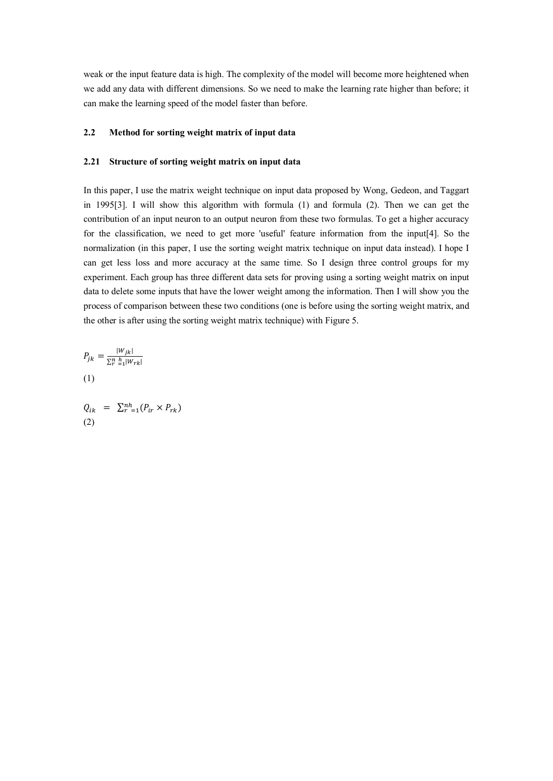weak or the input feature data is high. The complexity of the model will become more heightened when we add any data with different dimensions. So we need to make the learning rate higher than before; it can make the learning speed of the model faster than before.

#### **2.2 Method for sorting weight matrix of input data**

#### **2.21 Structure of sorting weight matrix on input data**

In this paper, I use the matrix weight technique on input data proposed by Wong, Gedeon, and Taggart in 1995[3]. I will show this algorithm with formula (1) and formula (2). Then we can get the contribution of an input neuron to an output neuron from these two formulas. To get a higher accuracy for the classification, we need to get more 'useful' feature information from the input[4]. So the normalization (in this paper, I use the sorting weight matrix technique on input data instead). I hope I can get less loss and more accuracy at the same time. So I design three control groups for my experiment. Each group has three different data sets for proving using a sorting weight matrix on input data to delete some inputs that have the lower weight among the information. Then I will show you the process of comparison between these two conditions (one is before using the sorting weight matrix, and the other is after using the sorting weight matrix technique) with Figure 5.

$$
P_{jk} = \frac{|W_{jk}|}{\sum_{r=1}^{n} |W_{rk}|}
$$
  
(1)

$$
Q_{ik} = \sum_{r=1}^{nh} (P_{ir} \times P_{rk})
$$
  
(2)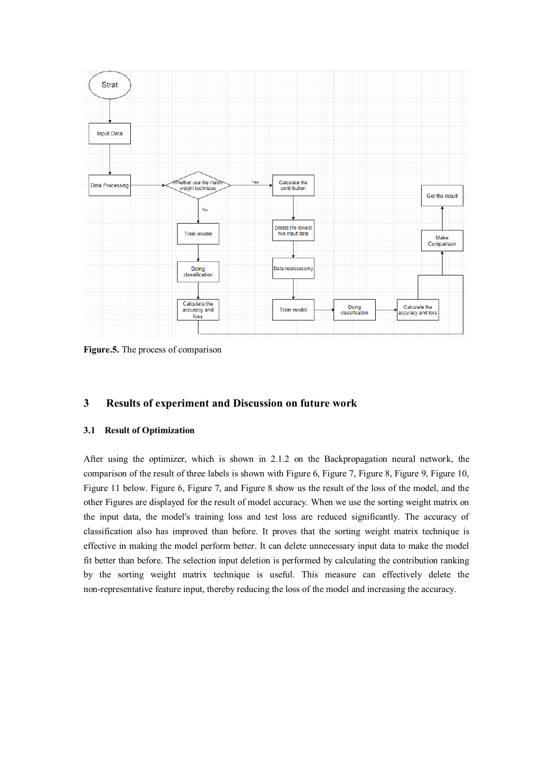

**Figure.5.** The process of comparison

## **3 Results of experiment and Discussion on future work**

## **3.1 Result of Optimization**

After using the optimizer, which is shown in 2.1.2 on the Backpropagation neural network, the comparison of the result of three labels is shown with Figure 6, Figure 7, Figure 8, Figure 9, Figure 10, Figure 11 below. Figure 6, Figure 7, and Figure 8 show us the result of the loss of the model, and the other Figures are displayed for the result of model accuracy. When we use the sorting weight matrix on the input data, the model's training loss and test loss are reduced significantly. The accuracy of classification also has improved than before. It proves that the sorting weight matrix technique is effective in making the model perform better. It can delete unnecessary input data to make the model fit better than before. The selection input deletion is performed by calculating the contribution ranking by the sorting weight matrix technique is useful. This measure can effectively delete the non-representative feature input, thereby reducing the loss of the model and increasing the accuracy.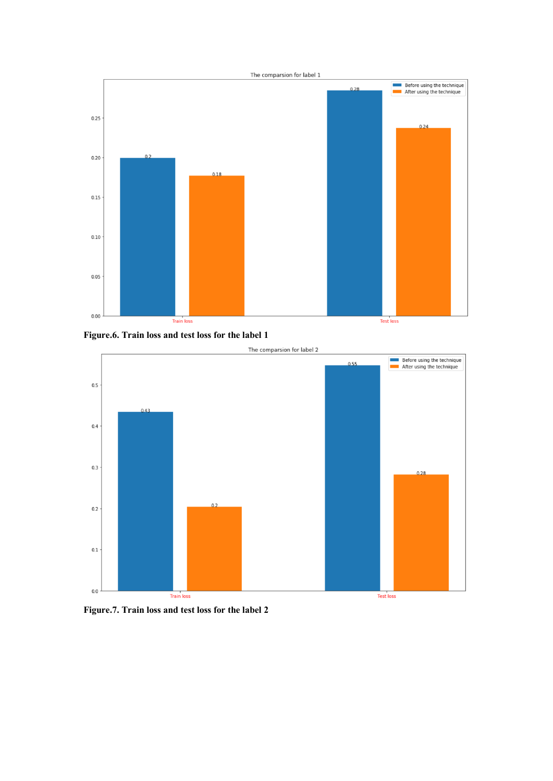

**Figure.6. Train loss and test loss for the label 1**



**Figure.7. Train loss and test loss for the label 2**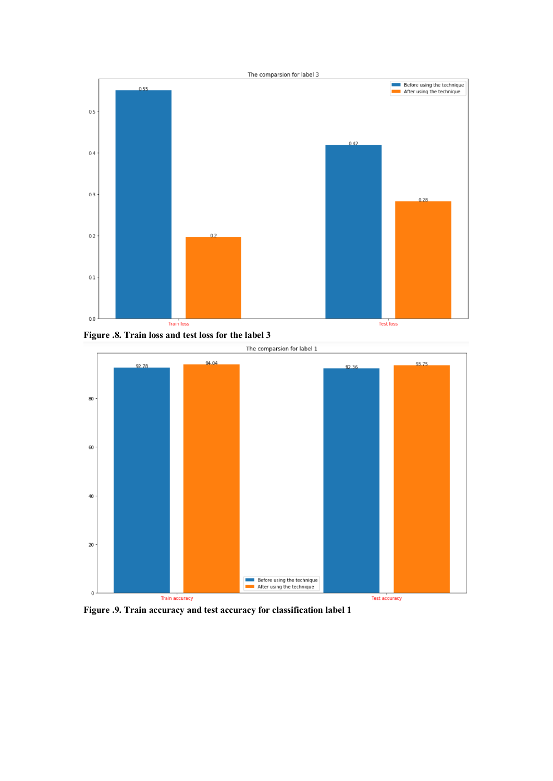

**Figure .8. Train loss and test loss for the label 3**



**Figure .9. Train accuracy and test accuracy for classification label 1**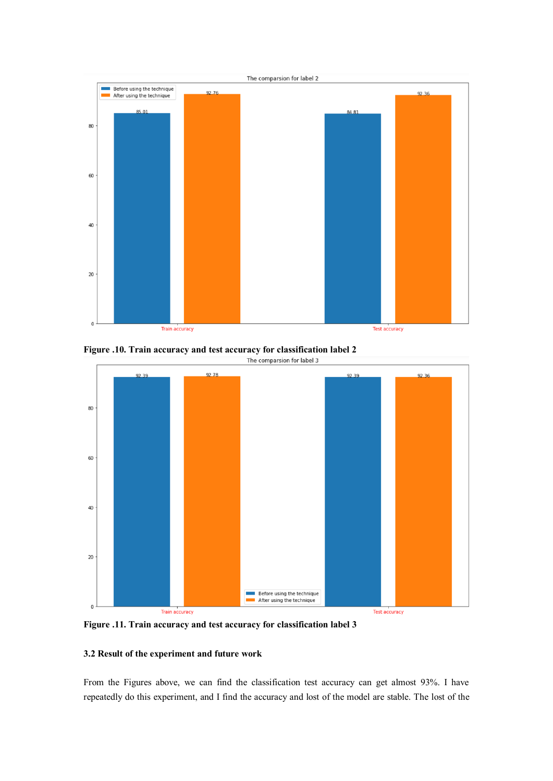

**Figure .10. Train accuracy and test accuracy for classification label 2**<br>The comparsion for label 3



**Figure .11. Train accuracy and test accuracy for classification label 3**

## **3.2 Result of the experiment and future work**

From the Figures above, we can find the classification test accuracy can get almost 93%. I have repeatedly do this experiment, and I find the accuracy and lost of the model are stable. The lost of the